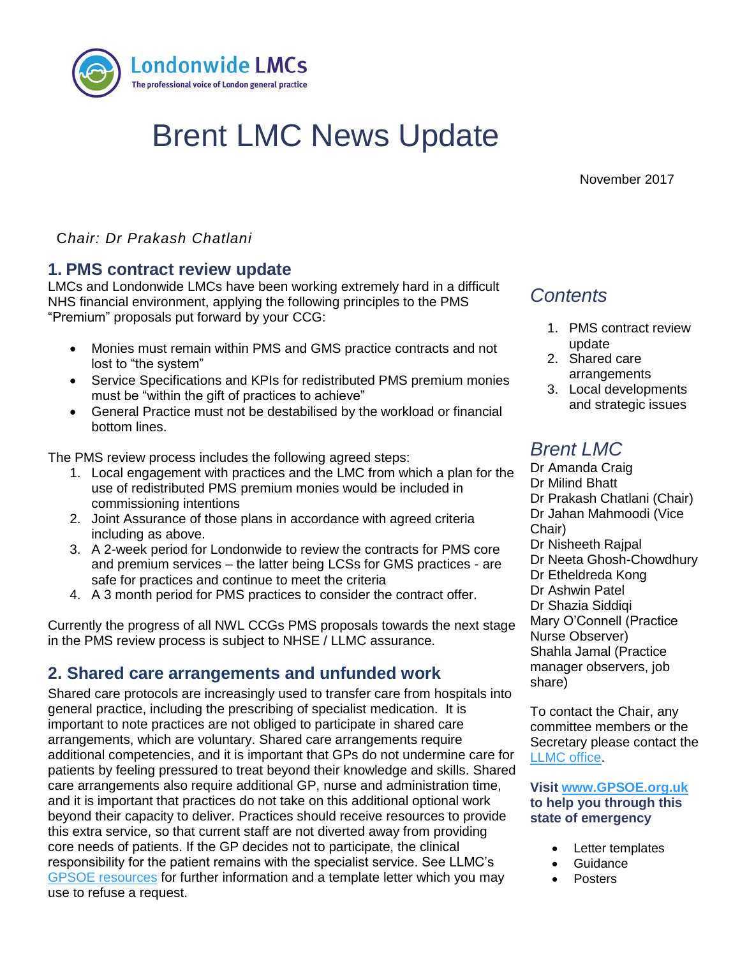

# Brent LMC News Update

November 2017

C*hair: Dr Prakash Chatlani*

## **1. PMS contract review update**

**1. TITLE** "Premium" proposals put forward by your CCG: LMCs and Londonwide LMCs have been working extremely hard in a difficult NHS financial environment, applying the following principles to the PMS

- Monies must remain within PMS and GMS practice contracts and not lost to "the system"
- Service Specifications and KPIs for redistributed PMS premium monies must be "within the gift of practices to achieve"
- General Practice must not be destabilised by the workload or financial bottom lines.

The PMS review process includes the following agreed steps:

- 1. Local engagement with practices and the LMC from which a plan for the use of redistributed PMS premium monies would be included in commissioning intentions
- 2. Joint Assurance of those plans in accordance with agreed criteria including as above.
- 3. A 2-week period for Londonwide to review the contracts for PMS core and premium services – the latter being LCSs for GMS practices - are safe for practices and continue to meet the criteria
- 4. A 3 month period for PMS practices to consider the contract offer.

Currently the progress of all NWL CCGs PMS proposals towards the next stage in the PMS review process is subject to NHSE / LLMC assurance.

# **2. Shared care arrangements and unfunded work**

Shared care protocols are increasingly used to transfer care from hospitals into general practice, including the prescribing of specialist medication. It is important to note practices are not obliged to participate in shared care arrangements, which are voluntary. Shared care arrangements require additional competencies, and it is important that GPs do not undermine care for patients by feeling pressured to treat beyond their knowledge and skills. Shared care arrangements also require additional GP, nurse and administration time, and it is important that practices do not take on this additional optional work beyond their capacity to deliver. Practices should receive resources to provide this extra service, so that current staff are not diverted away from providing core needs of patients. If the GP decides not to participate, the clinical responsibility for the patient remains with the specialist service. See LLMC's [GPSOE resources](https://gpsoe.org.uk/assets/Shared%20Care%20Protocols.pdf) for further information and a template letter which you may use to refuse a request.

# *Contents*

- 1. PMS contract review update
- 2. Shared care arrangements
- 3. Local developments and strategic issues

# *Brent LMC*

Dr Amanda Craig Dr Milind Bhatt Dr Prakash Chatlani (Chair) Dr Jahan Mahmoodi (Vice Chair) Dr Nisheeth Rajpal Dr Neeta Ghosh-Chowdhury Dr Etheldreda Kong Dr Ashwin Patel Dr Shazia Siddiqi Mary O'Connell (Practice Nurse Observer) Shahla Jamal (Practice manager observers, job share)

To contact the Chair, any committee members or the Secretary please contact the [LLMC office.](mailto:james.winstanley@lmc.org.uk)

#### **Visit [www.GPSOE.org.uk](http://www.gpsoe.org.uk/)  to help you through this state of emergency**

- Letter templates
- **Guidance**
- Posters